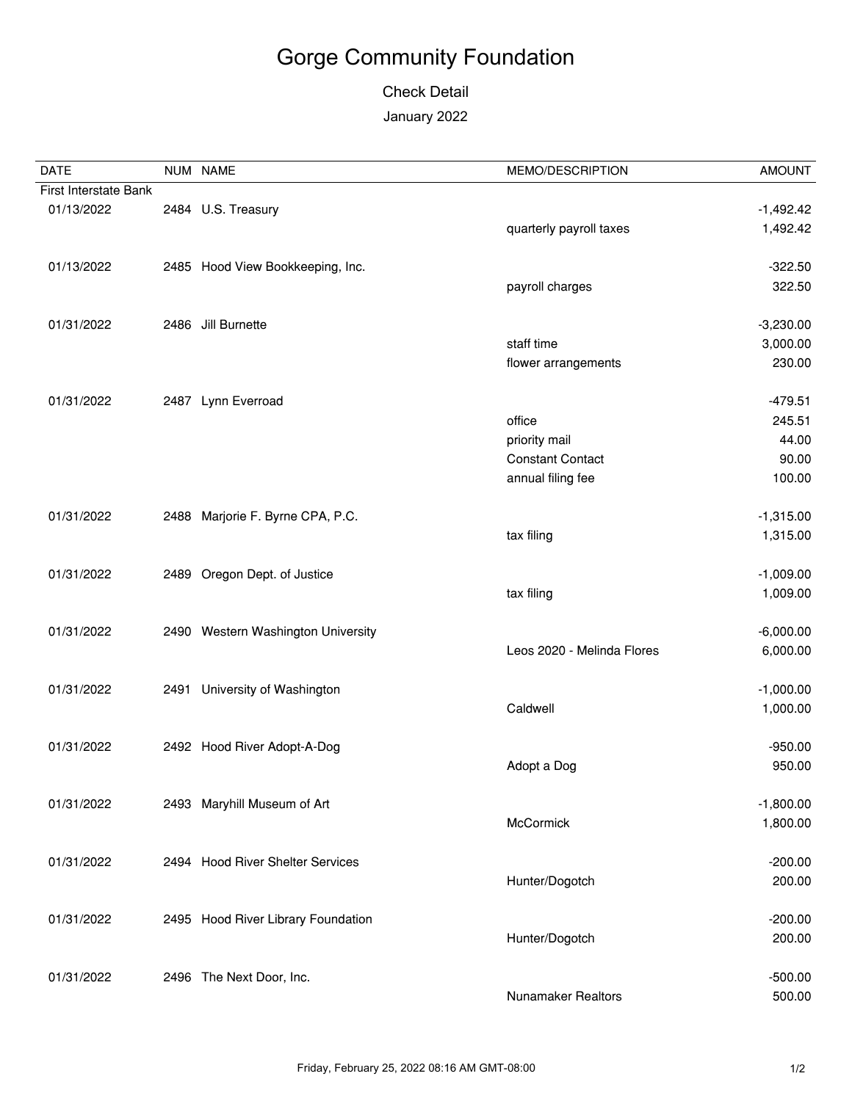## Gorge Community Foundation

## Check Detail January 2022

| <b>DATE</b>           |      | NUM NAME                           | MEMO/DESCRIPTION           | <b>AMOUNT</b> |
|-----------------------|------|------------------------------------|----------------------------|---------------|
| First Interstate Bank |      |                                    |                            |               |
| 01/13/2022            |      | 2484 U.S. Treasury                 |                            | $-1,492.42$   |
|                       |      |                                    | quarterly payroll taxes    | 1,492.42      |
| 01/13/2022            |      | 2485 Hood View Bookkeeping, Inc.   |                            | $-322.50$     |
|                       |      |                                    | payroll charges            | 322.50        |
| 01/31/2022            |      | 2486 Jill Burnette                 |                            | $-3,230.00$   |
|                       |      |                                    | staff time                 | 3,000.00      |
|                       |      |                                    | flower arrangements        | 230.00        |
| 01/31/2022            |      | 2487 Lynn Everroad                 |                            | $-479.51$     |
|                       |      |                                    | office                     | 245.51        |
|                       |      |                                    | priority mail              | 44.00         |
|                       |      |                                    | <b>Constant Contact</b>    | 90.00         |
|                       |      |                                    | annual filing fee          | 100.00        |
| 01/31/2022            |      | 2488 Marjorie F. Byrne CPA, P.C.   |                            | $-1,315.00$   |
|                       |      |                                    | tax filing                 | 1,315.00      |
| 01/31/2022            |      | 2489 Oregon Dept. of Justice       |                            | $-1,009.00$   |
|                       |      |                                    | tax filing                 | 1,009.00      |
| 01/31/2022            |      | 2490 Western Washington University |                            | $-6,000.00$   |
|                       |      |                                    | Leos 2020 - Melinda Flores | 6,000.00      |
| 01/31/2022            | 2491 | University of Washington           |                            | $-1,000.00$   |
|                       |      |                                    | Caldwell                   | 1,000.00      |
| 01/31/2022            |      | 2492 Hood River Adopt-A-Dog        |                            | $-950.00$     |
|                       |      |                                    | Adopt a Dog                | 950.00        |
| 01/31/2022            |      | 2493 Maryhill Museum of Art        |                            | $-1,800.00$   |
|                       |      |                                    | McCormick                  | 1,800.00      |
| 01/31/2022            |      | 2494 Hood River Shelter Services   |                            | $-200.00$     |
|                       |      |                                    | Hunter/Dogotch             | 200.00        |
| 01/31/2022            |      | 2495 Hood River Library Foundation |                            | $-200.00$     |
|                       |      |                                    | Hunter/Dogotch             | 200.00        |
| 01/31/2022            |      | 2496 The Next Door, Inc.           |                            | $-500.00$     |
|                       |      |                                    | <b>Nunamaker Realtors</b>  | 500.00        |